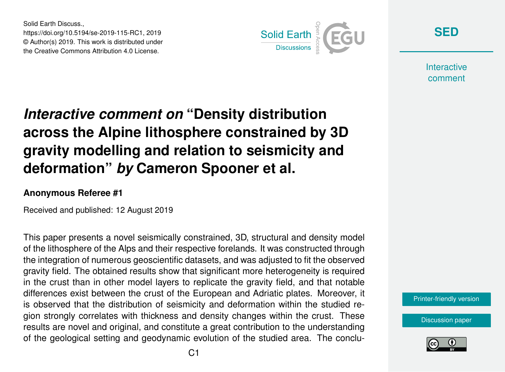Solid Earth Discuss., https://doi.org/10.5194/se-2019-115-RC1, 2019 © Author(s) 2019. This work is distributed under the Creative Commons Attribution 4.0 License.



**[SED](https://www.solid-earth-discuss.net/)**

**Interactive** comment

## *Interactive comment on* **"Density distribution across the Alpine lithosphere constrained by 3D gravity modelling and relation to seismicity and deformation"** *by* **Cameron Spooner et al.**

## **Anonymous Referee #1**

Received and published: 12 August 2019

This paper presents a novel seismically constrained, 3D, structural and density model of the lithosphere of the Alps and their respective forelands. It was constructed through the integration of numerous geoscientific datasets, and was adjusted to fit the observed gravity field. The obtained results show that significant more heterogeneity is required in the crust than in other model layers to replicate the gravity field, and that notable differences exist between the crust of the European and Adriatic plates. Moreover, it is observed that the distribution of seismicity and deformation within the studied region strongly correlates with thickness and density changes within the crust. These results are novel and original, and constitute a great contribution to the understanding of the geological setting and geodynamic evolution of the studied area. The conclu-



[Discussion paper](https://www.solid-earth-discuss.net/se-2019-115)

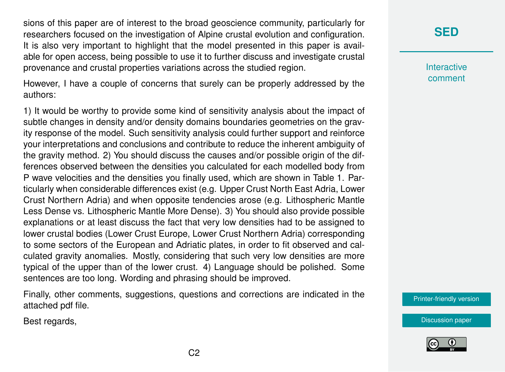sions of this paper are of interest to the broad geoscience community, particularly for researchers focused on the investigation of Alpine crustal evolution and configuration. It is also very important to highlight that the model presented in this paper is available for open access, being possible to use it to further discuss and investigate crustal provenance and crustal properties variations across the studied region.

However, I have a couple of concerns that surely can be properly addressed by the authors:

1) It would be worthy to provide some kind of sensitivity analysis about the impact of subtle changes in density and/or density domains boundaries geometries on the gravity response of the model. Such sensitivity analysis could further support and reinforce your interpretations and conclusions and contribute to reduce the inherent ambiguity of the gravity method. 2) You should discuss the causes and/or possible origin of the differences observed between the densities you calculated for each modelled body from P wave velocities and the densities you finally used, which are shown in Table 1. Particularly when considerable differences exist (e.g. Upper Crust North East Adria, Lower Crust Northern Adria) and when opposite tendencies arose (e.g. Lithospheric Mantle Less Dense vs. Lithospheric Mantle More Dense). 3) You should also provide possible explanations or at least discuss the fact that very low densities had to be assigned to lower crustal bodies (Lower Crust Europe, Lower Crust Northern Adria) corresponding to some sectors of the European and Adriatic plates, in order to fit observed and calculated gravity anomalies. Mostly, considering that such very low densities are more typical of the upper than of the lower crust. 4) Language should be polished. Some sentences are too long. Wording and phrasing should be improved.

Finally, other comments, suggestions, questions and corrections are indicated in the attached pdf file.

Best regards,

## **[SED](https://www.solid-earth-discuss.net/)**

**Interactive** comment

[Printer-friendly version](https://www.solid-earth-discuss.net/se-2019-115/se-2019-115-RC1-print.pdf)



[Discussion paper](https://www.solid-earth-discuss.net/se-2019-115)